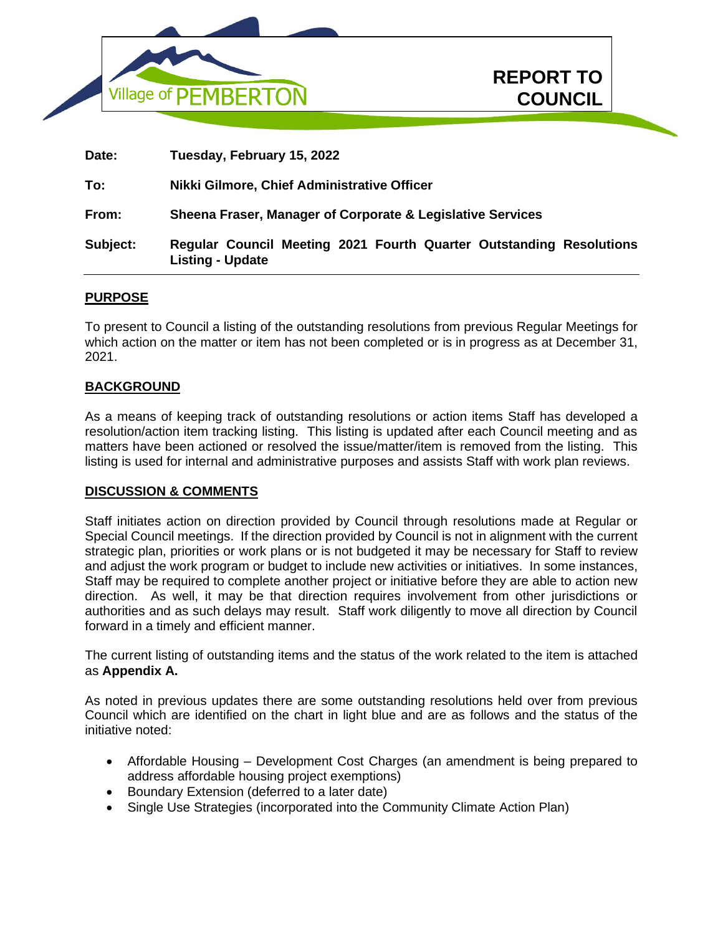

| Date:    | Tuesday, February 15, 2022                                                                     |
|----------|------------------------------------------------------------------------------------------------|
| To:      | Nikki Gilmore, Chief Administrative Officer                                                    |
| From:    | Sheena Fraser, Manager of Corporate & Legislative Services                                     |
| Subject: | Regular Council Meeting 2021 Fourth Quarter Outstanding Resolutions<br><b>Listing - Update</b> |

**REPORT TO**

**COUNCIL In Camera** 

# **PURPOSE**

To present to Council a listing of the outstanding resolutions from previous Regular Meetings for which action on the matter or item has not been completed or is in progress as at December 31, 2021.

#### **BACKGROUND**

As a means of keeping track of outstanding resolutions or action items Staff has developed a resolution/action item tracking listing. This listing is updated after each Council meeting and as matters have been actioned or resolved the issue/matter/item is removed from the listing. This listing is used for internal and administrative purposes and assists Staff with work plan reviews.

#### **DISCUSSION & COMMENTS**

Staff initiates action on direction provided by Council through resolutions made at Regular or Special Council meetings. If the direction provided by Council is not in alignment with the current strategic plan, priorities or work plans or is not budgeted it may be necessary for Staff to review and adjust the work program or budget to include new activities or initiatives. In some instances, Staff may be required to complete another project or initiative before they are able to action new direction. As well, it may be that direction requires involvement from other jurisdictions or authorities and as such delays may result. Staff work diligently to move all direction by Council forward in a timely and efficient manner.

The current listing of outstanding items and the status of the work related to the item is attached as **Appendix A.**

As noted in previous updates there are some outstanding resolutions held over from previous Council which are identified on the chart in light blue and are as follows and the status of the initiative noted:

- Affordable Housing Development Cost Charges (an amendment is being prepared to address affordable housing project exemptions)
- Boundary Extension (deferred to a later date)
- Single Use Strategies (incorporated into the Community Climate Action Plan)